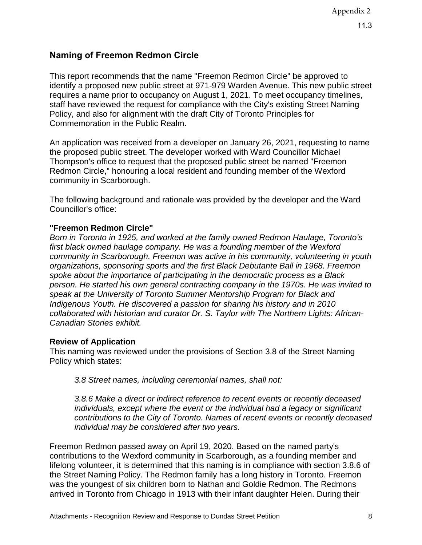## **Naming of Freemon Redmon Circle**

This report recommends that the name "Freemon Redmon Circle" be approved to identify a proposed new public street at 971-979 Warden Avenue. This new public street requires a name prior to occupancy on August 1, 2021. To meet occupancy timelines, staff have reviewed the request for compliance with the City's existing Street Naming Policy, and also for alignment with the draft City of Toronto Principles for Commemoration in the Public Realm.

An application was received from a developer on January 26, 2021, requesting to name the proposed public street. The developer worked with Ward Councillor Michael Thompson's office to request that the proposed public street be named "Freemon Redmon Circle," honouring a local resident and founding member of the Wexford community in Scarborough.

The following background and rationale was provided by the developer and the Ward Councillor's office:

## **"Freemon Redmon Circle"**

*Born in Toronto in 1925, and worked at the family owned Redmon Haulage, Toronto's first black owned haulage company. He was a founding member of the Wexford community in Scarborough. Freemon was active in his community, volunteering in youth organizations, sponsoring sports and the first Black Debutante Ball in 1968. Freemon spoke about the importance of participating in the democratic process as a Black person. He started his own general contracting company in the 1970s. He was invited to speak at the University of Toronto Summer Mentorship Program for Black and Indigenous Youth. He discovered a passion for sharing his history and in 2010 collaborated with historian and curator Dr. S. Taylor with The Northern Lights: African-Canadian Stories exhibit.*

## **Review of Application**

This naming was reviewed under the provisions of Section 3.8 of the Street Naming Policy which states:

*3.8 Street names, including ceremonial names, shall not:*

*3.8.6 Make a direct or indirect reference to recent events or recently deceased individuals, except where the event or the individual had a legacy or significant contributions to the City of Toronto. Names of recent events or recently deceased individual may be considered after two years.*

Freemon Redmon passed away on April 19, 2020. Based on the named party's contributions to the Wexford community in Scarborough, as a founding member and lifelong volunteer, it is determined that this naming is in compliance with section 3.8.6 of the Street Naming Policy. The Redmon family has a long history in Toronto. Freemon was the youngest of six children born to Nathan and Goldie Redmon. The Redmons arrived in Toronto from Chicago in 1913 with their infant daughter Helen. During their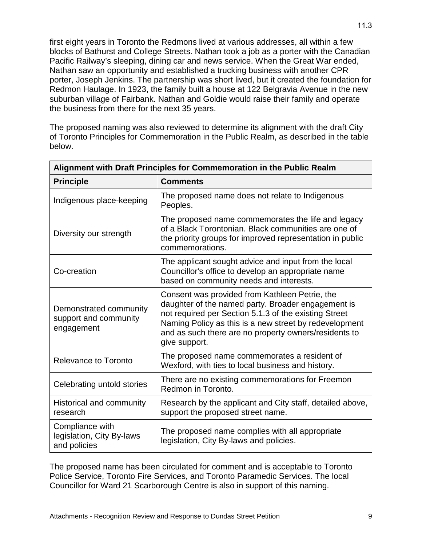first eight years in Toronto the Redmons lived at various addresses, all within a few blocks of Bathurst and College Streets. Nathan took a job as a porter with the Canadian Pacific Railway's sleeping, dining car and news service. When the Great War ended, Nathan saw an opportunity and established a trucking business with another CPR porter, Joseph Jenkins. The partnership was short lived, but it created the foundation for Redmon Haulage. In 1923, the family built a house at 122 Belgravia Avenue in the new suburban village of Fairbank. Nathan and Goldie would raise their family and operate the business from there for the next 35 years.

The proposed naming was also reviewed to determine its alignment with the draft City of Toronto Principles for Commemoration in the Public Realm, as described in the table below.

| Alignment with Draft Principles for Commemoration in the Public Realm |                                                                                                                                                                                                                                                                                                   |
|-----------------------------------------------------------------------|---------------------------------------------------------------------------------------------------------------------------------------------------------------------------------------------------------------------------------------------------------------------------------------------------|
| <b>Principle</b>                                                      | <b>Comments</b>                                                                                                                                                                                                                                                                                   |
| Indigenous place-keeping                                              | The proposed name does not relate to Indigenous<br>Peoples.                                                                                                                                                                                                                                       |
| Diversity our strength                                                | The proposed name commemorates the life and legacy<br>of a Black Torontonian. Black communities are one of<br>the priority groups for improved representation in public<br>commemorations.                                                                                                        |
| Co-creation                                                           | The applicant sought advice and input from the local<br>Councillor's office to develop an appropriate name<br>based on community needs and interests.                                                                                                                                             |
| Demonstrated community<br>support and community<br>engagement         | Consent was provided from Kathleen Petrie, the<br>daughter of the named party. Broader engagement is<br>not required per Section 5.1.3 of the existing Street<br>Naming Policy as this is a new street by redevelopment<br>and as such there are no property owners/residents to<br>give support. |
| Relevance to Toronto                                                  | The proposed name commemorates a resident of<br>Wexford, with ties to local business and history.                                                                                                                                                                                                 |
| Celebrating untold stories                                            | There are no existing commemorations for Freemon<br>Redmon in Toronto.                                                                                                                                                                                                                            |
| Historical and community<br>research                                  | Research by the applicant and City staff, detailed above,<br>support the proposed street name.                                                                                                                                                                                                    |
| Compliance with<br>legislation, City By-laws<br>and policies          | The proposed name complies with all appropriate<br>legislation, City By-laws and policies.                                                                                                                                                                                                        |

The proposed name has been circulated for comment and is acceptable to Toronto Police Service, Toronto Fire Services, and Toronto Paramedic Services. The local Councillor for Ward 21 Scarborough Centre is also in support of this naming.